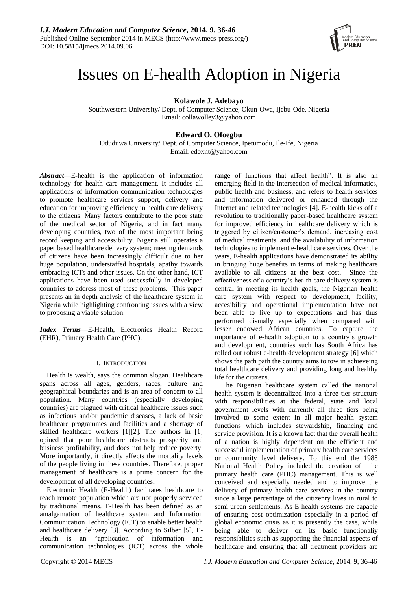

# Issues on E-health Adoption in Nigeria

**Kolawole J. Adebayo**

Southwestern University/ Dept. of Computer Science, Okun-Owa, Ijebu-Ode, Nigeria Email: collawolley3@yahoo.com

# **Edward O. Ofoegbu**

Oduduwa University/ Dept. of Computer Science, Ipetumodu, Ile-Ife, Nigeria Email: edoxnt@yahoo.com

*Abstract*—E-health is the application of information technology for health care management. It includes all applications of information communication technologies to promote healthcare services support, delivery and education for improving efficiency in health care delivery to the citizens. Many factors contribute to the poor state of the medical sector of Nigeria, and in fact many developing countries, two of the most important being record keeping and accessibility. Nigeria still operates a paper based healthcare delivery system; meeting demands of citizens have been increasingly difficult due to her huge population, understaffed hospitals, apathy towards embracing ICTs and other issues. On the other hand, ICT applications have been used successfully in developed countries to address most of these problems. This paper presents an in-depth analysis of the healthcare system in Nigeria while highlighting confronting issues with a view to proposing a viable solution.

*Index Terms*—E-Health, Electronics Health Record (EHR), Primary Health Care (PHC).

# I. INTRODUCTION

Health is wealth, says the common slogan. Healthcare spans across all ages, genders, races, culture and geographical boundaries and is an area of concern to all population. Many countries (especially developing countries) are plagued with critical healthcare issues such as infectious and/or pandemic diseases, a lack of basic healthcare programmes and facilities and a shortage of skilled healthcare workers [1][2]. The authors in [1] opined that poor healthcare obstructs prosperity and business profitability, and does not help reduce poverty. More importantly, it directly affects the mortality levels of the people living in these countries. Therefore, proper management of healthcare is a prime concern for the development of all developing countries.

Electronic Health (E-Health) facilitates healthcare to reach remote population which are not properly serviced by traditional means. E-Health has been defined as an amalgamation of healthcare system and Information Communication Technology (ICT) to enable better health and healthcare delivery [3]. According to Silber [5], E-Health is an "application of information and communication technologies (ICT) across the whole range of functions that affect health". It is also an emerging field in the intersection of medical informatics, public health and business, and refers to health services and information delivered or enhanced through the Internet and related technologies [4]. E-health kicks off a revolution to traditionally paper-based healthcare system for improved efficiency in healthcare delivery which is triggered by citizen/customer's demand, increasing cost of medical treatments, and the availability of information technologies to implement e-healthcare services. Over the years, E-health applications have demonstrated its ability in bringing huge benefits in terms of making healthcare available to all citizens at the best cost. Since the effectiveness of a country's health care delivery system is central in meeting its health goals, the Nigerian health care system with respect to development, facility, accesibility and operational implementation have not been able to live up to expectations and has thus performed dismally especially when compared with lesser endowed African countries. To capture the importance of e-health adoption to a country's growth and development, countries such has South Africa has rolled out robust e-health development strategy [6] which shows the path path the country aims to tow in achieveing total healthcare delivery and providing long and healthy life for the citizens.

The Nigerian healthcare system called the national health system is decentralized into a three tier structure with responsibilities at the federal, state and local government levels with currently all three tiers being involved to some extent in all major health system functions which includes stewardship, financing and service provision. It is a known fact that the overall health of a nation is highly dependent on the efficient and successful implementation of primary health care services or community level delivery. To this end the 1988 National Health Policy included the creation of the primary health care (PHC) management. This is well conceived and especially needed and to improve the delivery of primary health care services in the country since a large percentage of the citizenry lives in rural to semi-urban settlements. As E-health systems are capable of ensuring cost optimization especially in a period of global economic crisis as it is presently the case, while being able to deliver on its basic functionaliy responsiblities such as supporting the financial aspects of healthcare and ensuring that all treatment providers are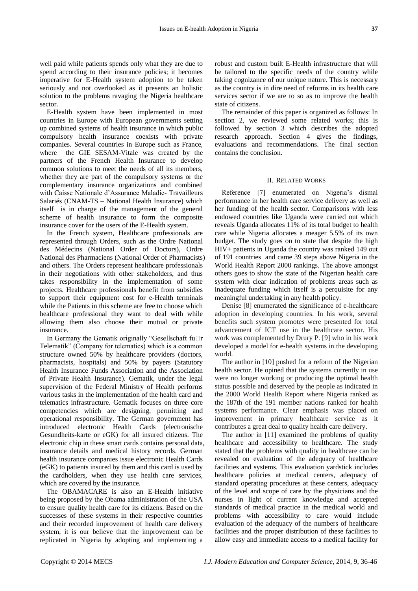well paid while patients spends only what they are due to spend according to their insurance policies; it becomes imperative for E-Health system adoption to be taken seriously and not overlooked as it presents an holistic solution to the problems ravaging the Nigeria healthcare sector.

E-Health system have been implemented in most countries in Europe with European governments setting up combined systems of health insurance in which public compulsory health insurance coexists with private companies. Several countries in Europe such as France, where the GIE SESAM-Vitale was created by the partners of the French Health Insurance to develop common solutions to meet the needs of all its members, whether they are part of the compulsory systems or the complementary insurance organizations and combined with Caisse Nationale d'Assurance Maladie- Travailleurs Salariés (CNAM-TS – National Health Insurance) which itself is in charge of the management of the general scheme of health insurance to form the composite insurance cover for the users of the E-Health system.

In the French system, Healthcare professionals are represented through Orders, such as the Ordre National des Médecins (National Order of Doctors), Ordre National des Pharmaciens (National Order of Pharmacists) and others. The Orders represent healthcare professionals in their negotiations with other stakeholders, and thus takes responsibility in the implementation of some projects. Healthcare professionals benefit from subsidies to support their equipment cost for e-Health terminals while the Patients in this scheme are free to choose which healthcare professional they want to deal with while allowing them also choose their mutual or private insurance.

In Germany the Gematik originally "Gesellschaft fu $\Box$ r Telematik" (Company for telematics) which is a common structure owned 50% by healthcare providers (doctors, pharmacists, hospitals) and 50% by payers (Statutory Health Insurance Funds Association and the Association of Private Health Insurance). Gematik, under the legal supervision of the Federal Ministry of Health performs various tasks in the implementation of the health card and telematics infrastructure. Gematik focuses on three core competencies which are designing, permitting and operational responsibility. The German government has introduced electronic Health Cards (electronische Gesundheits-karte or eGK) for all insured citizens. The electronic chip in these smart cards contains personal data, insurance details and medical history records. German health insurance companies issue electronic Health Cards (eGK) to patients insured by them and this card is used by the cardholders, when they use health care services, which are covered by the insurance.

The OBAMACARE is also an E-Health initiative being proposed by the Obama administration of the USA to ensure quality health care for its citizens. Based on the successes of these systems in their respective countries and their recorded improvement of health care delivery system, it is our believe that the improvement can be replicated in Nigeria by adopting and implementing a robust and custom built E-Health infrastructure that will be tailored to the specific needs of the country while taking cognizance of our unique nature. This is necessary as the country is in dire need of reforms in its health care services sector if we are to so as to improve the health state of citizens.

The remainder of this paper is organized as follows: In section 2, we reviewed some related works; this is followed by section 3 which describes the adopted research approach. Section 4 gives the findings, evaluations and recommendations. The final section contains the conclusion.

## II. RELATED WORKS

Reference [7] enumerated on Nigeria's dismal performance in her health care service delivery as well as her funding of the health sector. Comparisons with less endowed countries like Uganda were carried out which reveals Uganda allocates 11% of its total budget to health care while Nigeria allocates a meager 5.5% of its own budget. The study goes on to state that despite the high HIV+ patients in Uganda the country was ranked 149 out of 191 countries and came 39 steps above Nigeria in the World Health Report 2000 rankings. The above amongst others goes to show the state of the Nigerian health care system with clear indication of problems areas such as inadequate funding which itself is a perquisite for any meaningful undertaking in any health policy.

Denise [8] enumerated the significance of e-healthcare adoption in developing countries. In his work, several benefits such system promotes were presented for total advancement of ICT use in the healthcare sector. His work was complemented by Drury P. [9] who in his work developed a model for e-health systems in the developing world.

The author in [10] pushed for a reform of the Nigerian health sector. He opined that the systems currently in use were no longer working or producing the optimal health status possible and deserved by the people as indicated in the 2000 World Health Report where Nigeria ranked as the 187th of the 191 member nations ranked for health systems performance. Clear emphasis was placed on improvement in primary healthcare service as it contributes a great deal to quality health care delivery.

The author in [11] examined the problems of quality healthcare and accessibility to healthcare. The study stated that the problems with quality in healthcare can be revealed on evaluation of the adequacy of healthcare facilities and systems. This evaluation yardstick includes healthcare policies at medical centers, adequacy of standard operating procedures at these centers, adequacy of the level and scope of care by the physicians and the nurses in light of current knowledge and accepted standards of medical practice in the medical world and problems with accessibility to care would include evaluation of the adequacy of the numbers of healthcare facilities and the proper distribution of these facilities to allow easy and immediate access to a medical facility for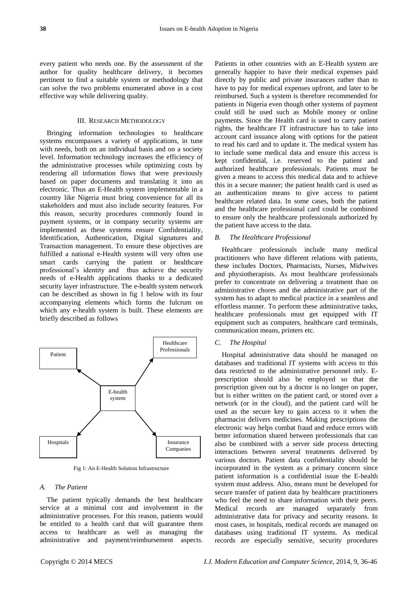every patient who needs one. By the assessment of the author for quality healthcare delivery, it becomes pertinent to find a suitable system or methodology that can solve the two problems enumerated above in a cost effective way while delivering quality.

# III. RESEARCH METHODOLOGY

Bringing information technologies to healthcare systems encompasses a variety of applications, in tune with needs, both on an individual basis and on a society level. Information technology increases the efficiency of the administrative processes while optimizing costs by rendering all information flows that were previously based on paper documents and translating it into an electronic. Thus an E-Health system implementable in a country like Nigeria must bring convenience for all its stakeholders and must also include security features. For this reason, security procedures commonly found in payment systems, or in company security systems are implemented as these systems ensure Confidentiality, Identification, Authentication, Digital signatures and Transaction management. To ensure these objectives are fulfilled a national e-Health system will very often use smart cards carrying the patient or healthcare professional's identity and thus achieve the security needs of e-Health applications thanks to a dedicated security layer infrastructure. The e-health system network can be described as shown in fig 1 below with its four accompanying elements which forms the fulcrum on which any e-health system is built. These elements are briefly described as follows



Fig 1: An E-Health Solution Infrastructure

#### *A. The Patient*

The patient typically demands the best healthcare service at a minimal cost and involvement in the administrative processes. For this reason, patients would be entitled to a health card that will guarantee them access to healthcare as well as managing the administrative and payment/reimbursement aspects.

Patients in other countries with an E-Health system are generally happier to have their medical expenses paid directly by public and private insurances rather than to have to pay for medical expenses upfront, and later to be reimbursed. Such a system is therefore recommended for patients in Nigeria even though other systems of payment could still be used such as Mobile money or online payments. Since the Health card is used to carry patient rights, the healthcare IT infrastructure has to take into account card issuance along with options for the patient to read his card and to update it. The medical system has to include some medical data and ensure this access is kept confidential, i.e. reserved to the patient and authorized healthcare professionals. Patients must be given a means to access this medical data and to achieve this in a secure manner; the patient health card is used as an authentication means to give access to patient healthcare related data. In some cases, both the patient and the healthcare professional card could be combined to ensure only the healthcare professionals authorized by the patient have access to the data.

#### *B. The Healthcare Professional*

Healthcare professionals include many medical practitioners who have different relations with patients, these includes Doctors, Pharmacists, Nurses, Midwives and physiotherapists. As most healthcare professionals prefer to concentrate on delivering a treatment than on administrative chores and the administrative part of the system has to adapt to medical practice in a seamless and effortless manner. To perform these administrative tasks, healthcare professionals must get equipped with IT equipment such as computers, healthcare card terminals, communication means, printers etc.

# *C. The Hospital*

Hospital administrative data should be managed on databases and traditional IT systems with access to this data restricted to the administrative personnel only. Eprescription should also be employed so that the prescription given out by a doctor is no longer on paper, but is either written on the patient card, or stored over a network (or in the cloud), and the patient card will be used as the secure key to gain access to it when the pharmacist delivers medicines. Making prescriptions the electronic way helps combat fraud and reduce errors with better information shared between professionals that can also be combined with a server side process detecting interactions between several treatments delivered by various doctors. Patient data confidentiality should be incorporated in the system as a primary concern since patient information is a confidential issue the E-health system must address. Also, means must be developed for secure transfer of patient data by healthcare practitioners who feel the need to share information with their peers. Medical records are managed separately from administrative data for privacy and security reasons. In most cases, in hospitals, medical records are managed on databases using traditional IT systems. As medical records are especially sensitive, security procedures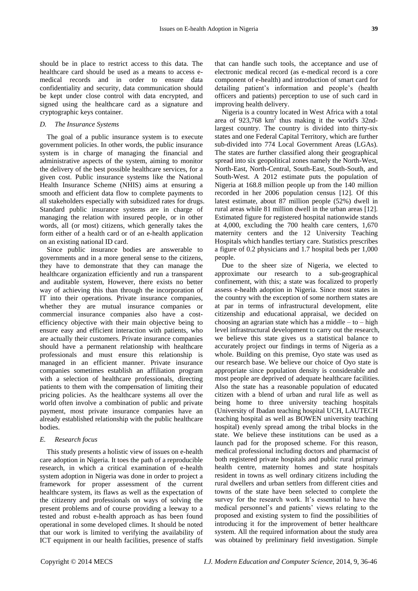should be in place to restrict access to this data. The healthcare card should be used as a means to access emedical records and in order to ensure data confidentiality and security, data communication should be kept under close control with data encrypted, and signed using the healthcare card as a signature and cryptographic keys container.

## *D. The Insurance Systems*

The goal of a public insurance system is to execute government policies. In other words, the public insurance system is in charge of managing the financial and administrative aspects of the system, aiming to monitor the delivery of the best possible healthcare services, for a given cost. Public insurance systems like the National Health Insurance Scheme (NHIS) aims at ensuring a smooth and efficient data flow to complete payments to all stakeholders especially with subsidized rates for drugs. Standard public insurance systems are in charge of managing the relation with insured people, or in other words, all (or most) citizens, which generally takes the form either of a health card or of an e-health application on an existing national ID card.

Since public insurance bodies are answerable to governments and in a more general sense to the citizens, they have to demonstrate that they can manage the healthcare organization efficiently and run a transparent and auditable system, However, there exists no better way of achieving this than through the incorporation of IT into their operations. Private insurance companies, whether they are mutual insurance companies or commercial insurance companies also have a costefficiency objective with their main objective being to ensure easy and efficient interaction with patients, who are actually their customers. Private insurance companies should have a permanent relationship with healthcare professionals and must ensure this relationship is managed in an efficient manner. Private insurance companies sometimes establish an affiliation program with a selection of healthcare professionals, directing patients to them with the compensation of limiting their pricing policies. As the healthcare systems all over the world often involve a combination of public and private payment, most private insurance companies have an already established relationship with the public healthcare bodies.

### *E. Research focus*

This study presents a holistic view of issues on e-health care adoption in Nigeria. It toes the path of a reproducible research, in which a critical examination of e-health system adoption in Nigeria was done in order to project a framework for proper assessment of the current healthcare system, its flaws as well as the expectation of the citizenry and professionals on ways of solving the present problems and of course providing a leeway to a tested and robust e-health approach as has been found operational in some developed climes. It should be noted that our work is limited to verifying the availability of ICT equipment in our health facilities, presence of staffs that can handle such tools, the acceptance and use of electronic medical record (as e-medical record is a core component of e-health) and introduction of smart card for detailing patient's information and people's (health officers and patients) perception to use of such card in improving health delivery.

Nigeria is a country located in West Africa with a total area of 923,768  $km^2$  thus making it the world's 32ndlargest country. The country is divided into thirty-six states and one Federal Capital Territory, which are further sub-divided into 774 Local Government Areas (LGAs). The states are further classified along their geographical spread into six geopolitical zones namely the North-West, North-East, North-Central, South-East, South-South, and South-West. A 2012 estimate puts the population of Nigeria at 168.8 million people up from the 140 million recorded in her 2006 population census [12]. Of this latest estimate, about 87 million people (52%) dwell in rural areas while 81 million dwell in the urban areas [12]. Estimated figure for registered hospital nationwide stands at 4,000, excluding the 700 health care centers, 1,670 maternity centers and the 12 University Teaching Hospitals which handles tertiary care. Statistics prescribes a figure of 0.2 physicians and 1.7 hospital beds per 1,000 people.

Due to the sheer size of Nigeria, we elected to approximate our research to a sub-geographical confinement, with this; a state was focalized to properly assess e-health adoption in Nigeria. Since most states in the country with the exception of some northern states are at par in terms of infrastructural development, elite citizenship and educational appraisal, we decided on choosing an agrarian state which has a middle  $-$  to  $-$  high level infrastructural development to carry out the research, we believe this state gives us a statistical balance to accurately project our findings in terms of Nigeria as a whole. Building on this premise, Oyo state was used as our research base. We believe our choice of Oyo state is appropriate since population density is considerable and most people are deprived of adequate healthcare facilities. Also the state has a reasonable population of educated citizen with a blend of urban and rural life as well as being home to three university teaching hospitals (University of Ibadan teaching hospital UCH, LAUTECH teaching hospital as well as BOWEN university teaching hospital) evenly spread among the tribal blocks in the state. We believe these institutions can be used as a launch pad for the proposed scheme. For this reason, medical professional including doctors and pharmacist of both registered private hospitals and public rural primary health centre, maternity homes and state hospitals resident in towns as well ordinary citizens including the rural dwellers and urban settlers from different cities and towns of the state have been selected to complete the survey for the research work. It's essential to have the medical personnel's and patients' views relating to the proposed and existing system to find the possibilities of introducing it for the improvement of better healthcare system. All the required information about the study area was obtained by preliminary field investigation. Simple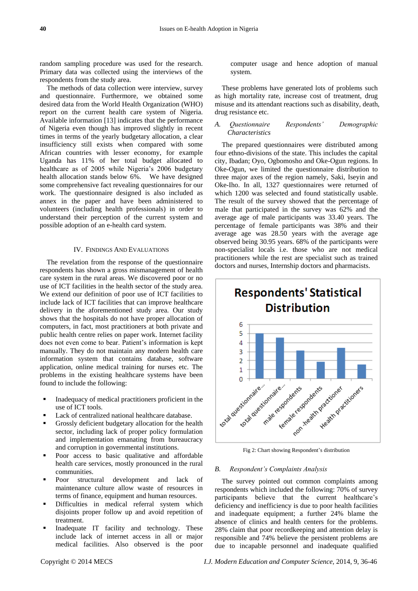random sampling procedure was used for the research. Primary data was collected using the interviews of the respondents from the study area.

The methods of data collection were interview, survey and questionnaire. Furthermore, we obtained some desired data from the World Health Organization (WHO) report on the current health care system of Nigeria. Available information [13] indicates that the performance of Nigeria even though has improved slightly in recent times in terms of the yearly budgetary allocation, a clear insufficiency still exists when compared with some African countries with lesser economy, for example Uganda has 11% of her total budget allocated to healthcare as of 2005 while Nigeria's 2006 budgetary health allocation stands below 6%. We have designed some comprehensive fact revealing questionnaires for our work. The questionnaire designed is also included as annex in the paper and have been administered to volunteers (including health professionals) in order to understand their perception of the current system and possible adoption of an e-health card system.

## IV. FINDINGS AND EVALUATIONS

The revelation from the response of the questionnaire respondents has shown a gross mismanagement of health care system in the rural areas. We discovered poor or no use of ICT facilities in the health sector of the study area. We extend our definition of poor use of ICT facilities to include lack of ICT facilities that can improve healthcare delivery in the aforementioned study area. Our study shows that the hospitals do not have proper allocation of computers, in fact, most practitioners at both private and public health centre relies on paper work. Internet facility does not even come to bear. Patient's information is kept manually. They do not maintain any modern health care information system that contains database, software application, online medical training for nurses etc. The problems in the existing healthcare systems have been found to include the following:

- Inadequacy of medical practitioners proficient in the use of ICT tools.
- Lack of centralized national healthcare database.
- Grossly deficient budgetary allocation for the health sector, including lack of proper policy formulation and implementation emanating from bureaucracy and corruption in governmental institutions.
- Poor access to basic qualitative and affordable health care services, mostly pronounced in the rural communities.
- Poor structural development and lack of maintenance culture allow waste of resources in terms of finance, equipment and human resources.
- Difficulties in medical referral system which disjoints proper follow up and avoid repetition of treatment.
- Inadequate IT facility and technology. These include lack of internet access in all or major medical facilities. Also observed is the poor

computer usage and hence adoption of manual system.

These problems have generated lots of problems such as high mortality rate, increase cost of treatment, drug misuse and its attendant reactions such as disability, death, drug resistance etc.

# *A. Questionnaire Respondents' Demographic Characteristics*

The prepared questionnaires were distributed among four ethno-divisions of the state. This includes the capital city, Ibadan; Oyo, Ogbomosho and Oke-Ogun regions. In Oke-Ogun, we limited the questionnaire distribution to three major axes of the region namely, Saki, Iseyin and Oke-Iho. In all, 1327 questionnaires were returned of which 1200 was selected and found statistically usable. The result of the survey showed that the percentage of male that participated in the survey was 62% and the average age of male participants was 33.40 years. The percentage of female participants was 38% and their average age was 28.50 years with the average age observed being 30.95 years. 68% of the participants were non-specialist locals i.e. those who are not medical practitioners while the rest are specialist such as trained doctors and nurses, Internship doctors and pharmacists.



Fig 2: Chart showing Respondent's distribution

## *B. Respondent's Complaints Analysis*

The survey pointed out common complaints among respondents which included the following: 70% of survey participants believe that the current healthcare's deficiency and inefficiency is due to poor health facilities and inadequate equipment; a further 24% blame the absence of clinics and health centers for the problems. 28% claim that poor recordkeeping and attention delay is responsible and 74% believe the persistent problems are due to incapable personnel and inadequate qualified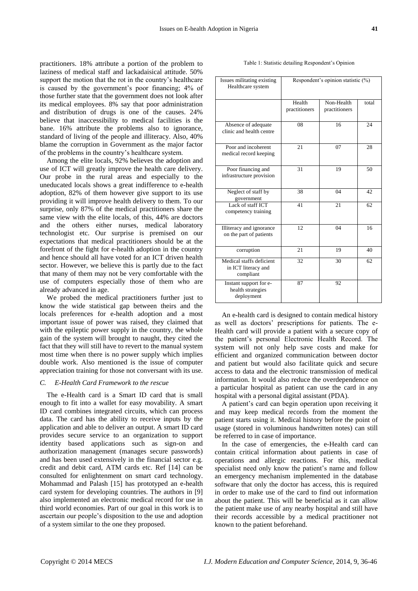practitioners. 18% attribute a portion of the problem to laziness of medical staff and lackadaisical attitude. 50% support the motion that the rot in the country's healthcare is caused by the government's poor financing; 4% of those further state that the government does not look after its medical employees. 8% say that poor administration and distribution of drugs is one of the causes. 24% believe that inaccessibility to medical facilities is the bane. 16% attribute the problems also to ignorance, standard of living of the people and illiteracy. Also, 40% blame the corruption in Government as the major factor of the problems in the country's healthcare system.

Among the elite locals, 92% believes the adoption and use of ICT will greatly improve the health care delivery. Our probe in the rural areas and especially to the uneducated locals shows a great indifference to e-health adoption, 82% of them however give support to its use providing it will improve health delivery to them. To our surprise, only 87% of the medical practitioners share the same view with the elite locals, of this, 44% are doctors and the others either nurses, medical laboratory technologist etc. Our surprise is premised on our expectations that medical practitioners should be at the forefront of the fight for e-health adoption in the country and hence should all have voted for an ICT driven health sector. However, we believe this is partly due to the fact that many of them may not be very comfortable with the use of computers especially those of them who are already advanced in age.

We probed the medical practitioners further just to know the wide statistical gap between theirs and the locals preferences for e-health adoption and a most important issue of power was raised, they claimed that with the epileptic power supply in the country, the whole gain of the system will brought to naught, they cited the fact that they will still have to revert to the manual system most time when there is no power supply which implies double work. Also mentioned is the issue of computer appreciation training for those not conversant with its use.

# *C. E-Health Card Framework to the rescue*

The e-Health card is a Smart ID card that is small enough to fit into a wallet for easy movability. A smart ID card combines integrated circuits, which can process data. The card has the ability to receive inputs by the application and able to deliver an output. A smart ID card provides secure service to an organization to support identity based applications such as sign-on and authorization management (manages secure passwords) and has been used extensively in the financial sector e.g. credit and debit card, ATM cards etc. Ref [14] can be consulted for enlightenment on smart card technology. Mohammad and Palash [15] has prototyped an e-health card system for developing countries. The authors in [9] also implemented an electronic medical record for use in third world economies. Part of our goal in this work is to ascertain our people's disposition to the use and adoption of a system similar to the one they proposed.

| Issues militating existing<br>Healthcare system              | Respondent's opinion statistic (%) |                             |       |
|--------------------------------------------------------------|------------------------------------|-----------------------------|-------|
|                                                              | Health<br>practitioners            | Non-Health<br>practitioners | total |
| Absence of adequate<br>clinic and health centre              | 08                                 | 16                          | 24    |
| Poor and incoherent<br>medical record keeping                | 21                                 | 07                          | 28    |
| Poor financing and<br>infrastructure provision               | 31                                 | 19                          | 50    |
| Neglect of staff by<br>government                            | 38                                 | 04                          | 42    |
| Lack of staff ICT<br>competency training                     | 41                                 | 2.1                         | 62    |
| Illiteracy and ignorance<br>on the part of patients          | 12                                 | 04                          | 16    |
| corruption                                                   | 21                                 | 19                          | 40    |
| Medical staffs deficient<br>in ICT literacy and<br>compliant | 32                                 | 30                          | 62    |
| Instant support for e-<br>health strategies<br>deployment    | 87                                 | 92                          |       |

Table 1: Statistic detailing Respondent's Opinion

An e-health card is designed to contain medical history as well as doctors' prescriptions for patients. The e-Health card will provide a patient with a secure copy of the patient's personal Electronic Health Record. The system will not only help save costs and make for efficient and organized communication between doctor and patient but would also facilitate quick and secure access to data and the electronic transmission of medical information. It would also reduce the overdependence on a particular hospital as patient can use the card in any hospital with a personal digital assistant (PDA).

A patient's card can begin operation upon receiving it and may keep medical records from the moment the patient starts using it. Medical history before the point of usage (stored in voluminous handwritten notes) can still be referred to in case of importance.

In the case of emergencies, the e-Health card can contain critical information about patients in case of operations and allergic reactions. For this, medical specialist need only know the patient's name and follow an emergency mechanism implemented in the database software that only the doctor has access, this is required in order to make use of the card to find out information about the patient. This will be beneficial as it can allow the patient make use of any nearby hospital and still have their records accessible by a medical practitioner not known to the patient beforehand.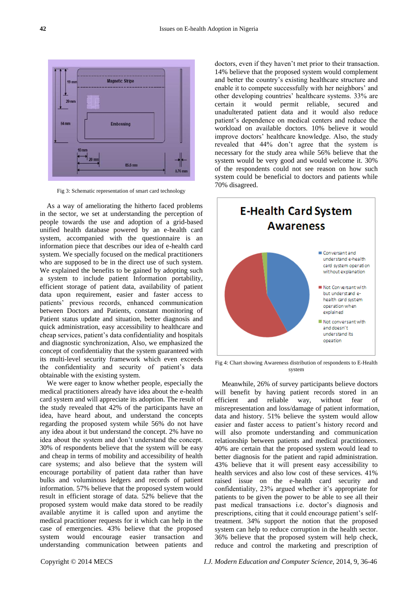

Fig 3: Schematic representation of smart card technology

As a way of ameliorating the hitherto faced problems in the sector, we set at understanding the perception of people towards the use and adoption of a grid-based unified health database powered by an e-health card system, accompanied with the questionnaire is an information piece that describes our idea of e-health card system. We specially focused on the medical practitioners who are supposed to be in the direct use of such system. We explained the benefits to be gained by adopting such a system to include patient Information portability, efficient storage of patient data, availability of patient data upon requirement, easier and faster access to patients' previous records, enhanced communication between Doctors and Patients, constant monitoring of Patient status update and situation, better diagnosis and quick administration, easy accessibility to healthcare and cheap services, patient's data confidentiality and hospitals and diagnostic synchronization, Also, we emphasized the concept of confidentiality that the system guaranteed with its multi-level security framework which even exceeds the confidentiality and security of patient's data obtainable with the existing system.

We were eager to know whether people, especially the medical practitioners already have idea about the e-health card system and will appreciate its adoption. The result of the study revealed that 42% of the participants have an idea, have heard about, and understand the concepts regarding the proposed system while 56% do not have any idea about it but understand the concept. 2% have no idea about the system and don't understand the concept. 30% of respondents believe that the system will be easy and cheap in terms of mobility and accessibility of health care systems; and also believe that the system will encourage portability of patient data rather than have bulks and voluminous ledgers and records of patient information. 57% believe that the proposed system would result in efficient storage of data. 52% believe that the proposed system would make data stored to be readily available anytime it is called upon and anytime the medical practitioner requests for it which can help in the case of emergencies. 43% believe that the proposed system would encourage easier transaction and understanding communication between patients and

doctors, even if they haven't met prior to their transaction. 14% believe that the proposed system would complement and better the country's existing healthcare structure and enable it to compete successfully with her neighbors' and other developing countries' healthcare systems. 33% are certain it would permit reliable, secured and unadulterated patient data and it would also reduce patient's dependence on medical centers and reduce the workload on available doctors. 10% believe it would improve doctors' healthcare knowledge. Also, the study revealed that 44% don't agree that the system is necessary for the study area while 56% believe that the system would be very good and would welcome it. 30% of the respondents could not see reason on how such system could be beneficial to doctors and patients while 70% disagreed.



Fig 4: Chart showing Awareness distribution of respondents to E-Health system

Meanwhile, 26% of survey participants believe doctors will benefit by having patient records stored in an efficient and reliable way, without fear of misrepresentation and loss/damage of patient information, data and history. 51% believe the system would allow easier and faster access to patient's history record and will also promote understanding and communication relationship between patients and medical practitioners. 40% are certain that the proposed system would lead to better diagnosis for the patient and rapid administration. 43% believe that it will present easy accessibility to health services and also low cost of these services. 41% raised issue on the e-health card security and confidentiality, 23% argued whether it's appropriate for patients to be given the power to be able to see all their past medical transactions i.e. doctor's diagnosis and prescriptions, citing that it could encourage patient's selftreatment. 34% support the notion that the proposed system can help to reduce corruption in the health sector. 36% believe that the proposed system will help check, reduce and control the marketing and prescription of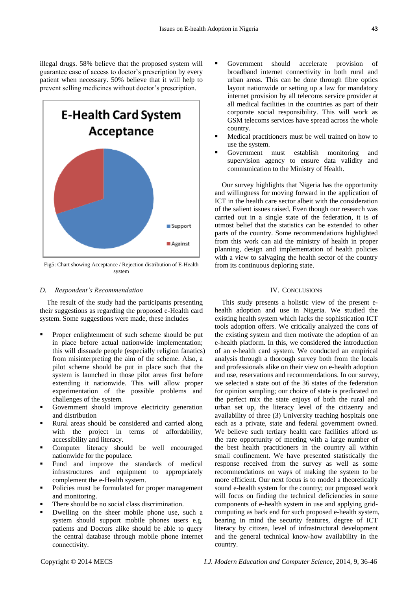illegal drugs. 58% believe that the proposed system will guarantee ease of access to doctor's prescription by every patient when necessary. 50% believe that it will help to prevent selling medicines without doctor's prescription.



Fig5: Chart showing Acceptance / Rejection distribution of E-Health system

## *D. Respondent's Recommendation*

The result of the study had the participants presenting their suggestions as regarding the proposed e-Health card system. Some suggestions were made, these includes

- Proper enlightenment of such scheme should be put in place before actual nationwide implementation; this will dissuade people (especially religion fanatics) from misinterpreting the aim of the scheme. Also, a pilot scheme should be put in place such that the system is launched in those pilot areas first before extending it nationwide. This will allow proper experimentation of the possible problems and challenges of the system.
- Government should improve electricity generation and distribution
- Rural areas should be considered and carried along with the project in terms of affordability, accessibility and literacy.
- Computer literacy should be well encouraged nationwide for the populace.
- Fund and improve the standards of medical infrastructures and equipment to appropriately complement the e-Health system.
- Policies must be formulated for proper management and monitoring.
- There should be no social class discrimination.
- Dwelling on the sheer mobile phone use, such a system should support mobile phones users e.g. patients and Doctors alike should be able to query the central database through mobile phone internet connectivity.
- Government should accelerate provision of broadband internet connectivity in both rural and urban areas. This can be done through fibre optics layout nationwide or setting up a law for mandatory internet provision by all telecoms service provider at all medical facilities in the countries as part of their corporate social responsibility. This will work as GSM telecoms services have spread across the whole country.
- Medical practitioners must be well trained on how to use the system.
- Government must establish monitoring and supervision agency to ensure data validity and communication to the Ministry of Health.

Our survey highlights that Nigeria has the opportunity and willingness for moving forward in the application of ICT in the health care sector albeit with the consideration of the salient issues raised. Even though our research was carried out in a single state of the federation, it is of utmost belief that the statistics can be extended to other parts of the country. Some recommendations highlighted from this work can aid the ministry of health in proper planning, design and implementation of health policies with a view to salvaging the health sector of the country from its continuous deploring state.

# IV. CONCLUSIONS

This study presents a holistic view of the present ehealth adoption and use in Nigeria. We studied the existing health system which lacks the sophistication ICT tools adoption offers. We critically analyzed the cons of the existing system and then motivate the adoption of an e-health platform. In this, we considered the introduction of an e-health card system. We conducted an empirical analysis through a thorough survey both from the locals and professionals alike on their view on e-health adoption and use, reservations and recommendations. In our survey, we selected a state out of the 36 states of the federation for opinion sampling; our choice of state is predicated on the perfect mix the state enjoys of both the rural and urban set up, the literacy level of the citizenry and availability of three (3) University teaching hospitals one each as a private, state and federal government owned. We believe such tertiary health care facilities afford us the rare opportunity of meeting with a large number of the best health practitioners in the country all within small confinement. We have presented statistically the response received from the survey as well as some recommendations on ways of making the system to be more efficient. Our next focus is to model a theoretically sound e-health system for the country; our proposed work will focus on finding the technical deficiencies in some components of e-health system in use and applying gridcomputing as back end for such proposed e-health system, bearing in mind the security features, degree of ICT literacy by citizen, level of infrastructural development and the general technical know-how availability in the country.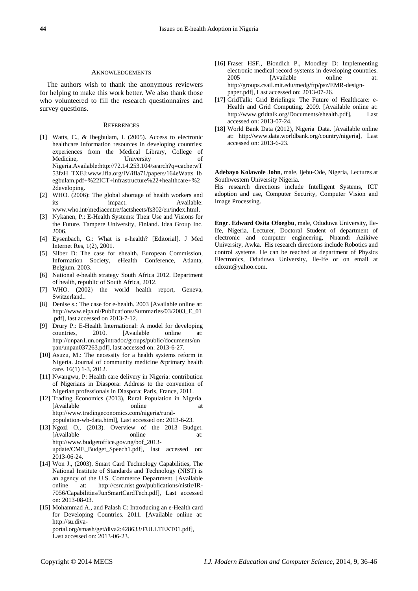## AKNOWLEDGEMENTS

The authors wish to thank the anonymous reviewers for helping to make this work better. We also thank those who volunteered to fill the research questionnaires and survey questions.

#### **REFERENCES**

- [1] Watts, C., & Ibegbulam, I. (2005). Access to electronic healthcare information resources in developing countries: experiences from the Medical Library, College of Medicine, University of Nigeria.Available:http://72.14.253.104/search?q=cache:wT 53fzH\_TXEJ:www.ifla.org/IV/ifla71/papers/164eWatts\_Ib egbulam.pdf+%22ICT+infrastructure%22+healthcare+%2 2developing.
- [2] WHO. (2006): The global shortage of health workers and its impact. Available: www.who.int/mediacentre/factsheets/fs302/en/index.html.
- [3] Nykanen, P.: E-Health Systems: Their Use and Visions for the Future. Tampere University, Finland. Idea Group Inc. 2006.
- [4] Eysenbach, G.: What is e-health? [Editorial]. J Med Internet Res, 1(2), 2001.
- [5] Silber D: The case for ehealth. European Commission, Information Society, eHealth Conference, Atlanta, Belgium. 2003.
- [6] National e-health strategy South Africa 2012. Department of health, republic of South Africa, 2012.
- [7] WHO. (2002) the world health report, Geneva, Switzerland..
- [8] Denise s.: The case for e-health. 2003 [Available online at: http://www.eipa.nl/Publications/Summaries/03/2003\_E\_01 .pdf], last accessed on 2013-7-12.
- [9] Drury P.: E-Health International: A model for developing countries, 2010. [Available online at: http://unpan1.un.org/intradoc/groups/public/documents/un pan/unpan037263.pdf], last accessed on: 2013-6-27.
- [10] Asuzu, M.: The necessity for a health systems reform in Nigeria. Journal of community medicine &primary health care. 16(1) 1-3, 2012.
- [11] Nwangwu, P: Health care delivery in Nigeria: contribution of Nigerians in Diaspora: Address to the convention of Nigerian professionals in Diaspora; Paris, France, 2011.
- [12] Trading Economics (2013), Rural Population in Nigeria. [Available online at http://www.tradingeconomics.com/nigeria/ruralpopulation-wb-data.html], Last accessed on: 2013-6-23.
- [13] Ngozi O., (2013). Overview of the 2013 Budget. [Available online at: http://www.budgetoffice.gov.ng/bof\_2013 update/CME\_Budget\_Speech1.pdf], last accessed on: 2013-06-24.
- [14] Won J., (2003). Smart Card Technology Capabilities, The National Institute of Standards and Technology (NIST) is an agency of the U.S. Commerce Department. [Available online at: http://csrc.nist.gov/publications/nistir/IR-7056/Capabilities/JunSmartCardTech.pdf], Last accessed on: 2013-08-03.
- [15] Mohammad A., and Palash C: Introducing an e-Health card for Developing Countries. 2011. [Available online at: http://su.divaportal.org/smash/get/diva2:428633/FULLTEXT01.pdf], Last accessed on: 2013-06-23.
- [16] Fraser HSF., Biondich P., Moodley D: Implementing electronic medical record systems in developing countries. 2005 [Available online at: http://groups.csail.mit.edu/medg/ftp/psz/EMR-designpaper.pdf], Last accessed on: 2013-07-26.
- [17] GridTalk: Grid Briefings: The Future of Healthcare: e-Health and Grid Computing. 2009. [Available online at: http://www.gridtalk.org/Documents/ehealth.pdf], Last accessed on: 2013-07-24.
- [18] World Bank Data (2012), Nigeria |Data. [Available online at: http://www.data.worldbank.org/country/nigeria], Last accessed on: 2013-6-23.

**Adebayo Kolawole John**, male, Ijebu-Ode, Nigeria, Lectures at Southwestern University Nigeria.

His research directions include Intelligent Systems, ICT adoption and use, Computer Security, Computer Vision and Image Processing.

**Engr. Edward Osita Ofoegbu**, male, Oduduwa University, Ile-Ife, Nigeria, Lecturer, Doctoral Student of department of electronic and computer engineering, Nnamdi Azikiwe University, Awka. His research directions include Robotics and control systems. He can be reached at department of Physics Electronics, Oduduwa University, Ile-Ife or on email at edoxnt@yahoo.com.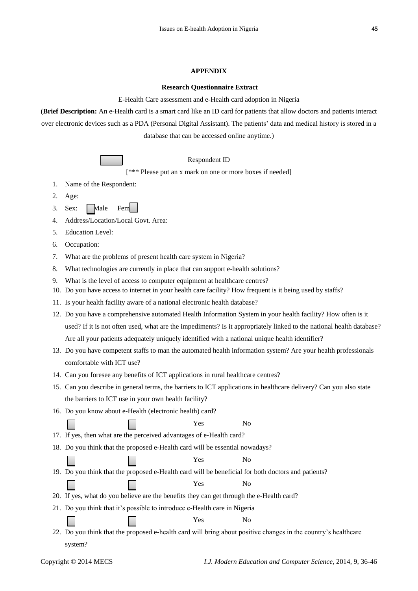#### **APPENDIX**

#### **Research Questionnaire Extract**

E-Health Care assessment and e-Health card adoption in Nigeria

(**Brief Description:** An e-Health card is a smart card like an ID card for patients that allow doctors and patients interact over electronic devices such as a PDA (Personal Digital Assistant). The patients' data and medical history is stored in a database that can be accessed online anytime.)

Respondent ID

[\*\*\* Please put an x mark on one or more boxes if needed]

- 1. Name of the Respondent:
- 2. Age:
- 3. Sex: Male Fem
- 4. Address/Location/Local Govt. Area:
- 5. Education Level:
- 6. Occupation:
- 7. What are the problems of present health care system in Nigeria?
- 8. What technologies are currently in place that can support e-health solutions?
- 9. What is the level of access to computer equipment at healthcare centres?
- 10. Do you have access to internet in your health care facility? How frequent is it being used by staffs?
- 11. Is your health facility aware of a national electronic health database?
- 12. Do you have a comprehensive automated Health Information System in your health facility? How often is it used? If it is not often used, what are the impediments? Is it appropriately linked to the national health database? Are all your patients adequately uniquely identified with a national unique health identifier?
- 13. Do you have competent staffs to man the automated health information system? Are your health professionals comfortable with ICT use?
- 14. Can you foresee any benefits of ICT applications in rural healthcare centres?
- 15. Can you describe in general terms, the barriers to ICT applications in healthcare delivery? Can you also state the barriers to ICT use in your own health facility?

N<sub>o</sub>

16. Do you know about e-Health (electronic health) card?

| Yes<br>$-$ |
|------------|
|            |

- 17. If yes, then what are the perceived advantages of e-Health card?
- 18. Do you think that the proposed e-Health card will be essential nowadays?

Yes No

19. Do you think that the proposed e-Health card will be beneficial for both doctors and patients?

Yes No

- 20. If yes, what do you believe are the benefits they can get through the e-Health card?
- 21. Do you think that it's possible to introduce e-Health care in Nigeria
	- Yes No
- 22. Do you think that the proposed e-health card will bring about positive changes in the country's healthcare system?